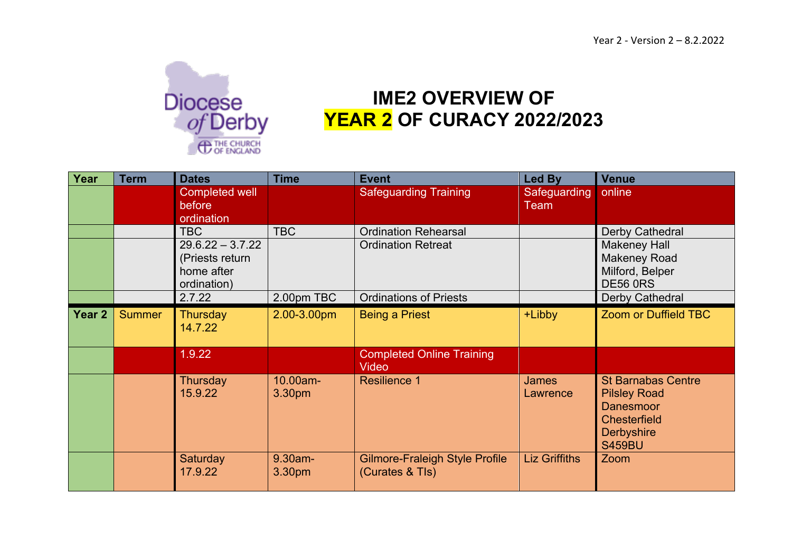

## **IME2 OVERVIEW OF YEAR 2 OF CURACY 2022/2023**

| Year   | <b>Term</b>   | <b>Dates</b>                                                       | <b>Time</b>        | <b>Event</b>                                             | Led By                   | <b>Venue</b>                                                                                                                      |
|--------|---------------|--------------------------------------------------------------------|--------------------|----------------------------------------------------------|--------------------------|-----------------------------------------------------------------------------------------------------------------------------------|
|        |               | <b>Completed well</b><br>before<br>ordination                      |                    | <b>Safeguarding Training</b>                             | Safeguarding<br>Team     | online                                                                                                                            |
|        |               | <b>TBC</b>                                                         | <b>TBC</b>         | <b>Ordination Rehearsal</b>                              |                          | Derby Cathedral                                                                                                                   |
|        |               | $29.6.22 - 3.7.22$<br>(Priests return<br>home after<br>ordination) |                    | <b>Ordination Retreat</b>                                |                          | <b>Makeney Hall</b><br><b>Makeney Road</b><br>Milford, Belper<br><b>DE56 0RS</b>                                                  |
|        |               | 2.7.22                                                             | 2.00pm TBC         | <b>Ordinations of Priests</b>                            |                          | Derby Cathedral                                                                                                                   |
| Year 2 | <b>Summer</b> | <b>Thursday</b><br>14.7.22                                         | 2.00-3.00pm        | <b>Being a Priest</b>                                    | +Libby                   | <b>Zoom or Duffield TBC</b>                                                                                                       |
|        |               | 1.9.22                                                             |                    | <b>Completed Online Training</b><br>Video                |                          |                                                                                                                                   |
|        |               | Thursday<br>15.9.22                                                | 10.00am-<br>3.30pm | <b>Resilience 1</b>                                      | <b>James</b><br>Lawrence | <b>St Barnabas Centre</b><br><b>Pilsley Road</b><br><b>Danesmoor</b><br><b>Chesterfield</b><br><b>Derbyshire</b><br><b>S459BU</b> |
|        |               | Saturday<br>17.9.22                                                | 9.30am-<br>3.30pm  | <b>Gilmore-Fraleigh Style Profile</b><br>(Curates & Tls) | <b>Liz Griffiths</b>     | Zoom                                                                                                                              |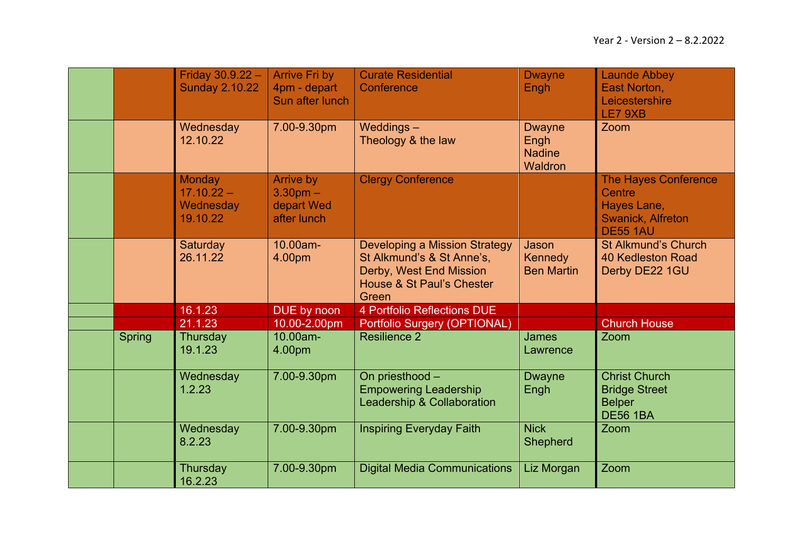|        | Friday 30.9.22 -<br><b>Sunday 2.10.22</b>              | <b>Arrive Fri by</b><br>4pm - depart<br>Sun after lunch | <b>Curate Residential</b><br>Conference                                                                                            | <b>Dwayne</b><br>Engh                             | <b>Launde Abbey</b><br>East Norton,<br>Leicestershire<br>LE7 9XB                                    |
|--------|--------------------------------------------------------|---------------------------------------------------------|------------------------------------------------------------------------------------------------------------------------------------|---------------------------------------------------|-----------------------------------------------------------------------------------------------------|
|        | Wednesday<br>12.10.22                                  | 7.00-9.30pm                                             | Weddings-<br>Theology & the law                                                                                                    | <b>Dwayne</b><br>Engh<br><b>Nadine</b><br>Waldron | Zoom                                                                                                |
|        | <b>Monday</b><br>$17.10.22 -$<br>Wednesday<br>19.10.22 | Arrive by<br>$3.30pm -$<br>depart Wed<br>after lunch    | <b>Clergy Conference</b>                                                                                                           |                                                   | <b>The Hayes Conference</b><br>Centre<br>Hayes Lane,<br><b>Swanick, Alfreton</b><br><b>DE55 1AU</b> |
|        | Saturday<br>26.11.22                                   | 10.00am-<br>4.00pm                                      | <b>Developing a Mission Strategy</b><br>St Alkmund's & St Anne's,<br>Derby, West End Mission<br>House & St Paul's Chester<br>Green | Jason<br>Kennedy<br><b>Ben Martin</b>             | <b>St Alkmund's Church</b><br><b>40 Kedleston Road</b><br>Derby DE22 1GU                            |
|        | 16.1.23                                                | DUE by noon                                             | 4 Portfolio Reflections DUE                                                                                                        |                                                   |                                                                                                     |
|        | 21.1.23                                                | 10.00-2.00pm                                            | Portfolio Surgery (OPTIONAL)                                                                                                       |                                                   | <b>Church House</b>                                                                                 |
| Spring | Thursday<br>19.1.23                                    | 10.00am-<br>4.00pm                                      | <b>Resilience 2</b>                                                                                                                | <b>James</b><br>Lawrence                          | Zoom                                                                                                |
|        | Wednesday<br>1.2.23                                    | 7.00-9.30pm                                             | On priesthood -<br><b>Empowering Leadership</b><br>Leadership & Collaboration                                                      | <b>Dwayne</b><br>Engh                             | <b>Christ Church</b><br><b>Bridge Street</b><br><b>Belper</b><br><b>DE56 1BA</b>                    |
|        | Wednesday<br>8.2.23                                    | 7.00-9.30pm                                             | <b>Inspiring Everyday Faith</b>                                                                                                    | <b>Nick</b><br><b>Shepherd</b>                    | Zoom                                                                                                |
|        | Thursday<br>16.2.23                                    | 7.00-9.30pm                                             | <b>Digital Media Communications</b>                                                                                                | Liz Morgan                                        | Zoom                                                                                                |